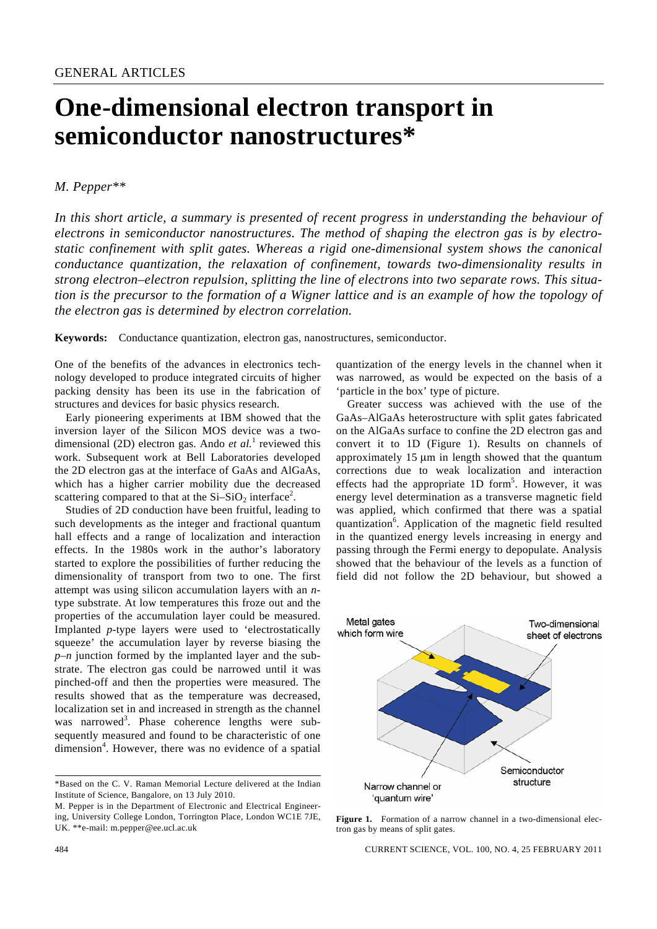## **One-dimensional electron transport in semiconductor nanostructures\***

## *M. Pepper\*\**

*In this short article, a summary is presented of recent progress in understanding the behaviour of electrons in semiconductor nanostructures. The method of shaping the electron gas is by electrostatic confinement with split gates. Whereas a rigid one-dimensional system shows the canonical conductance quantization, the relaxation of confinement, towards two-dimensionality results in strong electron–electron repulsion, splitting the line of electrons into two separate rows. This situation is the precursor to the formation of a Wigner lattice and is an example of how the topology of the electron gas is determined by electron correlation.* 

**Keywords:** Conductance quantization, electron gas, nanostructures, semiconductor.

One of the benefits of the advances in electronics technology developed to produce integrated circuits of higher packing density has been its use in the fabrication of structures and devices for basic physics research.

 Early pioneering experiments at IBM showed that the inversion layer of the Silicon MOS device was a twodimensional (2D) electron gas. Ando *et al.*<sup>1</sup> reviewed this work. Subsequent work at Bell Laboratories developed the 2D electron gas at the interface of GaAs and AlGaAs, which has a higher carrier mobility due the decreased scattering compared to that at the  $Si-SiO<sub>2</sub>$  interface<sup>2</sup>.

 Studies of 2D conduction have been fruitful, leading to such developments as the integer and fractional quantum hall effects and a range of localization and interaction effects. In the 1980s work in the author's laboratory started to explore the possibilities of further reducing the dimensionality of transport from two to one. The first attempt was using silicon accumulation layers with an *n*type substrate. At low temperatures this froze out and the properties of the accumulation layer could be measured. Implanted *p*-type layers were used to 'electrostatically squeeze' the accumulation layer by reverse biasing the *p*–*n* junction formed by the implanted layer and the substrate. The electron gas could be narrowed until it was pinched-off and then the properties were measured. The results showed that as the temperature was decreased, localization set in and increased in strength as the channel was narrowed<sup>3</sup>. Phase coherence lengths were subsequently measured and found to be characteristic of one dimension<sup>4</sup>. However, there was no evidence of a spatial

\*Based on the C. V. Raman Memorial Lecture delivered at the Indian Institute of Science, Bangalore, on 13 July 2010.

M. Pepper is in the Department of Electronic and Electrical Engineering, University College London, Torrington Place, London WC1E 7JE, UK. \*\*e-mail: m.pepper@ee.ucl.ac.uk

quantization of the energy levels in the channel when it was narrowed, as would be expected on the basis of a 'particle in the box' type of picture.

 Greater success was achieved with the use of the GaAs–AlGaAs heterostructure with split gates fabricated on the AlGaAs surface to confine the 2D electron gas and convert it to 1D (Figure 1). Results on channels of approximately 15 μm in length showed that the quantum corrections due to weak localization and interaction effects had the appropriate 1D form<sup>5</sup>. However, it was energy level determination as a transverse magnetic field was applied, which confirmed that there was a spatial quantization<sup>6</sup>. Application of the magnetic field resulted in the quantized energy levels increasing in energy and passing through the Fermi energy to depopulate. Analysis showed that the behaviour of the levels as a function of field did not follow the 2D behaviour, but showed a



Figure 1. Formation of a narrow channel in a two-dimensional electron gas by means of split gates.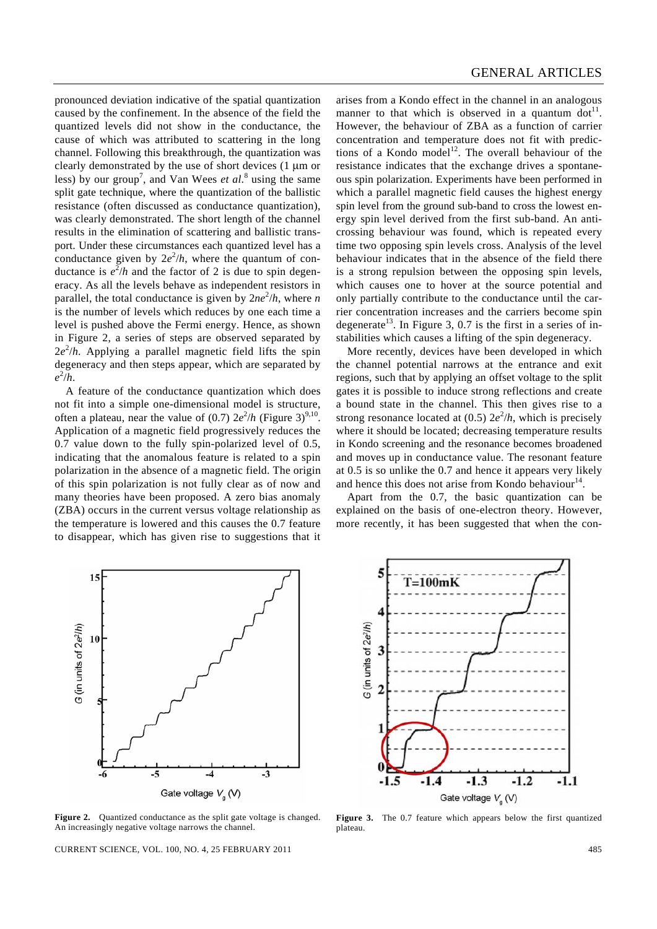pronounced deviation indicative of the spatial quantization caused by the confinement. In the absence of the field the quantized levels did not show in the conductance, the cause of which was attributed to scattering in the long channel. Following this breakthrough, the quantization was clearly demonstrated by the use of short devices (1 μm or less) by our group<sup>7</sup>, and Van Wees *et al.*<sup>8</sup> using the same split gate technique, where the quantization of the ballistic resistance (often discussed as conductance quantization), was clearly demonstrated. The short length of the channel results in the elimination of scattering and ballistic transport. Under these circumstances each quantized level has a conductance given by  $2e^2/h$ , where the quantum of conductance is  $e^2/h$  and the factor of 2 is due to spin degeneracy. As all the levels behave as independent resistors in parallel, the total conductance is given by  $2ne^2/h$ , where *n* is the number of levels which reduces by one each time a level is pushed above the Fermi energy. Hence, as shown in Figure 2, a series of steps are observed separated by  $2e^{2}/h$ . Applying a parallel magnetic field lifts the spin degeneracy and then steps appear, which are separated by  $e^2/h$ .

 A feature of the conductance quantization which does not fit into a simple one-dimensional model is structure, often a plateau, near the value of  $(0.7)$   $2e^{2/h}$  (Figure 3)<sup>9,10</sup>. Application of a magnetic field progressively reduces the 0.7 value down to the fully spin-polarized level of 0.5, indicating that the anomalous feature is related to a spin polarization in the absence of a magnetic field. The origin of this spin polarization is not fully clear as of now and many theories have been proposed. A zero bias anomaly (ZBA) occurs in the current versus voltage relationship as the temperature is lowered and this causes the 0.7 feature to disappear, which has given rise to suggestions that it

arises from a Kondo effect in the channel in an analogous manner to that which is observed in a quantum dot<sup>11</sup>. However, the behaviour of ZBA as a function of carrier concentration and temperature does not fit with predictions of a Kondo model<sup>12</sup>. The overall behaviour of the resistance indicates that the exchange drives a spontaneous spin polarization. Experiments have been performed in which a parallel magnetic field causes the highest energy spin level from the ground sub-band to cross the lowest energy spin level derived from the first sub-band. An anticrossing behaviour was found, which is repeated every time two opposing spin levels cross. Analysis of the level behaviour indicates that in the absence of the field there is a strong repulsion between the opposing spin levels, which causes one to hover at the source potential and only partially contribute to the conductance until the carrier concentration increases and the carriers become spin degenerate<sup>13</sup>. In Figure 3, 0.7 is the first in a series of instabilities which causes a lifting of the spin degeneracy.

 More recently, devices have been developed in which the channel potential narrows at the entrance and exit regions, such that by applying an offset voltage to the split gates it is possible to induce strong reflections and create a bound state in the channel. This then gives rise to a strong resonance located at  $(0.5)$   $2e^{2}/h$ , which is precisely where it should be located; decreasing temperature results in Kondo screening and the resonance becomes broadened and moves up in conductance value. The resonant feature at 0.5 is so unlike the 0.7 and hence it appears very likely and hence this does not arise from Kondo behaviour $14$ .

 Apart from the 0.7, the basic quantization can be explained on the basis of one-electron theory. However, more recently, it has been suggested that when the con-



**Figure 2.** Quantized conductance as the split gate voltage is changed. An increasingly negative voltage narrows the channel.

CURRENT SCIENCE, VOL. 100, NO. 4, 25 FEBRUARY 2011 485



**Figure 3.** The 0.7 feature which appears below the first quantized plateau.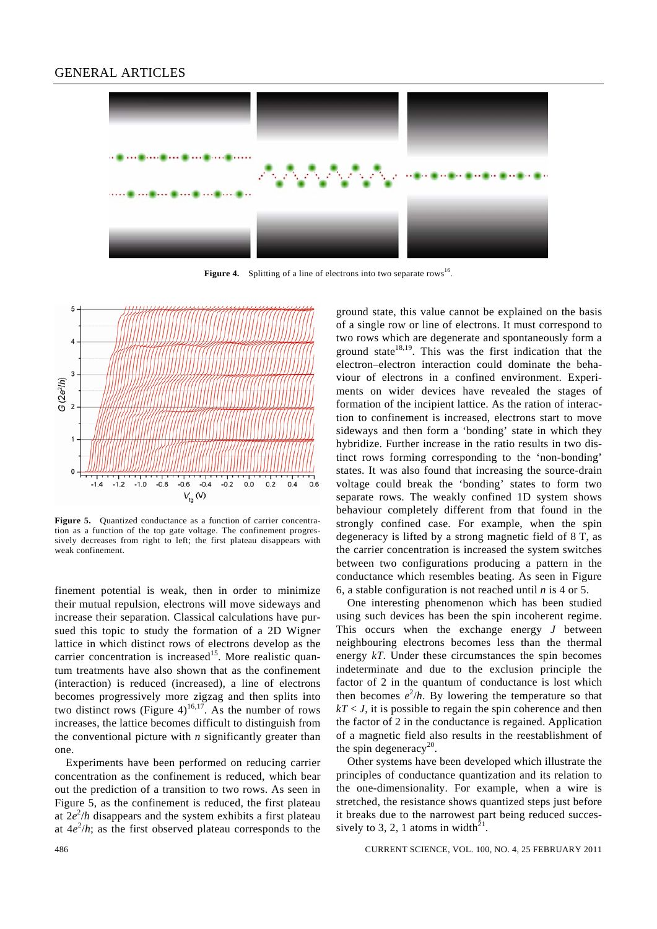

**Figure 4.** Splitting of a line of electrons into two separate rows<sup>16</sup>.



**Figure 5.** Quantized conductance as a function of carrier concentration as a function of the top gate voltage. The confinement progressively decreases from right to left; the first plateau disappears with weak confinement.

finement potential is weak, then in order to minimize their mutual repulsion, electrons will move sideways and increase their separation. Classical calculations have pursued this topic to study the formation of a 2D Wigner lattice in which distinct rows of electrons develop as the carrier concentration is increased<sup>15</sup>. More realistic quantum treatments have also shown that as the confinement (interaction) is reduced (increased), a line of electrons becomes progressively more zigzag and then splits into two distinct rows (Figure 4)<sup>16,17</sup>. As the number of rows increases, the lattice becomes difficult to distinguish from the conventional picture with *n* significantly greater than one.

 Experiments have been performed on reducing carrier concentration as the confinement is reduced, which bear out the prediction of a transition to two rows. As seen in Figure 5, as the confinement is reduced, the first plateau at  $2e^{2}/h$  disappears and the system exhibits a first plateau at  $4e^{2}/h$ ; as the first observed plateau corresponds to the ground state, this value cannot be explained on the basis of a single row or line of electrons. It must correspond to two rows which are degenerate and spontaneously form a ground state $18,19$ . This was the first indication that the electron–electron interaction could dominate the behaviour of electrons in a confined environment. Experiments on wider devices have revealed the stages of formation of the incipient lattice. As the ration of interaction to confinement is increased, electrons start to move sideways and then form a 'bonding' state in which they hybridize. Further increase in the ratio results in two distinct rows forming corresponding to the 'non-bonding' states. It was also found that increasing the source-drain voltage could break the 'bonding' states to form two separate rows. The weakly confined 1D system shows behaviour completely different from that found in the strongly confined case. For example, when the spin degeneracy is lifted by a strong magnetic field of 8 T, as the carrier concentration is increased the system switches between two configurations producing a pattern in the conductance which resembles beating. As seen in Figure 6, a stable configuration is not reached until *n* is 4 or 5.

 One interesting phenomenon which has been studied using such devices has been the spin incoherent regime. This occurs when the exchange energy *J* between neighbouring electrons becomes less than the thermal energy *kT*. Under these circumstances the spin becomes indeterminate and due to the exclusion principle the factor of 2 in the quantum of conductance is lost which then becomes  $e^2/h$ . By lowering the temperature so that  $kT < J$ , it is possible to regain the spin coherence and then the factor of 2 in the conductance is regained. Application of a magnetic field also results in the reestablishment of the spin degeneracy<sup>20</sup>.

 Other systems have been developed which illustrate the principles of conductance quantization and its relation to the one-dimensionality. For example, when a wire is stretched, the resistance shows quantized steps just before it breaks due to the narrowest part being reduced successively to 3, 2, 1 atoms in width<sup>21</sup>.